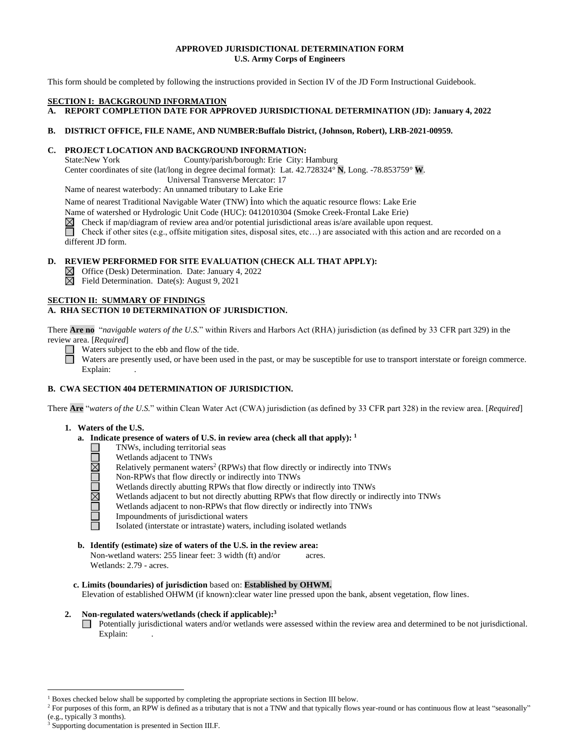### **APPROVED JURISDICTIONAL DETERMINATION FORM U.S. Army Corps of Engineers**

This form should be completed by following the instructions provided in Section IV of the JD Form Instructional Guidebook.

#### **SECTION I: BACKGROUND INFORMATION**

**A. REPORT COMPLETION DATE FOR APPROVED JURISDICTIONAL DETERMINATION (JD): January 4, 2022** 

## **B. DISTRICT OFFICE, FILE NAME, AND NUMBER:Buffalo District, (Johnson, Robert), LRB-2021-00959.**

# **C. PROJECT LOCATION AND BACKGROUND INFORMATION:**

State:New York County/parish/borough: Erie City: Hamburg

Center coordinates of site (lat/long in degree decimal format): Lat. 42.728324° **N**, Long. -78.853759° **W**.

Universal Transverse Mercator: 17

Name of nearest waterbody: An unnamed tributary to Lake Erie

Name of nearest Traditional Navigable Water (TNW) into which the aquatic resource flows: Lake Erie

Name of watershed or Hydrologic Unit Code (HUC): 0412010304 (Smoke Creek-Frontal Lake Erie)

 $\boxtimes$ Check if map/diagram of review area and/or potential jurisdictional areas is/are available upon request.

Check if other sites (e.g., offsite mitigation sites, disposal sites, etc…) are associated with this action and are recorded on a different JD form.

# **D. REVIEW PERFORMED FOR SITE EVALUATION (CHECK ALL THAT APPLY):**

 $\boxtimes$  Office (Desk) Determination. Date: January 4, 2022

 $\boxtimes$  Field Determination. Date(s): August 9, 2021

## **SECTION II: SUMMARY OF FINDINGS**

# **A. RHA SECTION 10 DETERMINATION OF JURISDICTION.**

There **Are no** "*navigable waters of the U.S.*" within Rivers and Harbors Act (RHA) jurisdiction (as defined by 33 CFR part 329) in the review area. [*Required*]

Waters subject to the ebb and flow of the tide.

Waters are presently used, or have been used in the past, or may be susceptible for use to transport interstate or foreign commerce. Explain:

# **B. CWA SECTION 404 DETERMINATION OF JURISDICTION.**

There **Are** "*waters of the U.S.*" within Clean Water Act (CWA) jurisdiction (as defined by 33 CFR part 328) in the review area. [*Required*]

# **1. Waters of the U.S.**

- **a. Indicate presence of waters of U.S. in review area (check all that apply): 1**
	- TNWs, including territorial seas  $\Box$ 
		- Wetlands adjacent to TNWs
		- Relatively permanent waters<sup>2</sup> (RPWs) that flow directly or indirectly into TNWs
	- Non-RPWs that flow directly or indirectly into TNWs
	- Wetlands directly abutting RPWs that flow directly or indirectly into TNWs
	- **NAUDMADDE** Wetlands adjacent to but not directly abutting RPWs that flow directly or indirectly into TNWs
		- Wetlands adjacent to non-RPWs that flow directly or indirectly into TNWs
		- Impoundments of jurisdictional waters

Isolated (interstate or intrastate) waters, including isolated wetlands

**b. Identify (estimate) size of waters of the U.S. in the review area:**

Non-wetland waters: 255 linear feet: 3 width (ft) and/or acres. Wetlands: 2.79 - acres.

**c. Limits (boundaries) of jurisdiction** based on: **Established by OHWM.**

Elevation of established OHWM (if known):clear water line pressed upon the bank, absent vegetation, flow lines.

## **2. Non-regulated waters/wetlands (check if applicable): 3**

Potentially jurisdictional waters and/or wetlands were assessed within the review area and determined to be not jurisdictional. Explain:

<sup>1</sup> Boxes checked below shall be supported by completing the appropriate sections in Section III below.

<sup>&</sup>lt;sup>2</sup> For purposes of this form, an RPW is defined as a tributary that is not a TNW and that typically flows year-round or has continuous flow at least "seasonally" (e.g., typically 3 months).

<sup>3</sup> Supporting documentation is presented in Section III.F.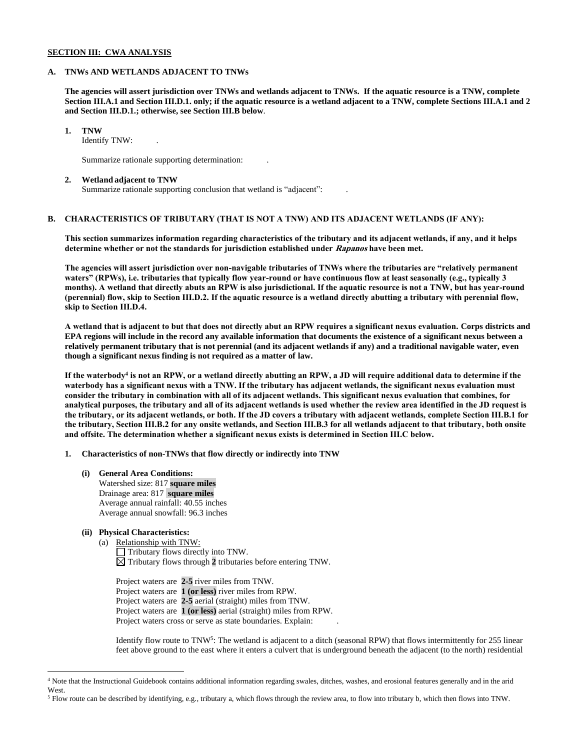#### **SECTION III: CWA ANALYSIS**

#### **A. TNWs AND WETLANDS ADJACENT TO TNWs**

**The agencies will assert jurisdiction over TNWs and wetlands adjacent to TNWs. If the aquatic resource is a TNW, complete Section III.A.1 and Section III.D.1. only; if the aquatic resource is a wetland adjacent to a TNW, complete Sections III.A.1 and 2 and Section III.D.1.; otherwise, see Section III.B below**.

**1. TNW** 

Identify TNW: .

Summarize rationale supporting determination: .

#### **2. Wetland adjacent to TNW**

Summarize rationale supporting conclusion that wetland is "adjacent": .

# **B. CHARACTERISTICS OF TRIBUTARY (THAT IS NOT A TNW) AND ITS ADJACENT WETLANDS (IF ANY):**

**This section summarizes information regarding characteristics of the tributary and its adjacent wetlands, if any, and it helps determine whether or not the standards for jurisdiction established under Rapanos have been met.** 

**The agencies will assert jurisdiction over non-navigable tributaries of TNWs where the tributaries are "relatively permanent waters" (RPWs), i.e. tributaries that typically flow year-round or have continuous flow at least seasonally (e.g., typically 3 months). A wetland that directly abuts an RPW is also jurisdictional. If the aquatic resource is not a TNW, but has year-round (perennial) flow, skip to Section III.D.2. If the aquatic resource is a wetland directly abutting a tributary with perennial flow, skip to Section III.D.4.**

**A wetland that is adjacent to but that does not directly abut an RPW requires a significant nexus evaluation. Corps districts and EPA regions will include in the record any available information that documents the existence of a significant nexus between a relatively permanent tributary that is not perennial (and its adjacent wetlands if any) and a traditional navigable water, even though a significant nexus finding is not required as a matter of law.**

**If the waterbody<sup>4</sup> is not an RPW, or a wetland directly abutting an RPW, a JD will require additional data to determine if the waterbody has a significant nexus with a TNW. If the tributary has adjacent wetlands, the significant nexus evaluation must consider the tributary in combination with all of its adjacent wetlands. This significant nexus evaluation that combines, for analytical purposes, the tributary and all of its adjacent wetlands is used whether the review area identified in the JD request is the tributary, or its adjacent wetlands, or both. If the JD covers a tributary with adjacent wetlands, complete Section III.B.1 for the tributary, Section III.B.2 for any onsite wetlands, and Section III.B.3 for all wetlands adjacent to that tributary, both onsite and offsite. The determination whether a significant nexus exists is determined in Section III.C below.**

**1. Characteristics of non-TNWs that flow directly or indirectly into TNW**

**(i) General Area Conditions:** Watershed size: 817 **square miles** Drainage area: 817 **square miles** Average annual rainfall: 40.55 inches Average annual snowfall: 96.3 inches

# **(ii) Physical Characteristics:**

(a) Relationship with TNW: Tributary flows directly into TNW.  $\boxtimes$  Tributary flows through 2 tributaries before entering TNW.

Project waters are **2-5** river miles from TNW. Project waters are **1 (or less)** river miles from RPW. Project waters are **2-5** aerial (straight) miles from TNW. Project waters are **1 (or less)** aerial (straight) miles from RPW. Project waters cross or serve as state boundaries. Explain:

Identify flow route to TNW<sup>5</sup>: The wetland is adjacent to a ditch (seasonal RPW) that flows intermittently for 255 linear feet above ground to the east where it enters a culvert that is underground beneath the adjacent (to the north) residential

<sup>4</sup> Note that the Instructional Guidebook contains additional information regarding swales, ditches, washes, and erosional features generally and in the arid West.

<sup>5</sup> Flow route can be described by identifying, e.g., tributary a, which flows through the review area, to flow into tributary b, which then flows into TNW.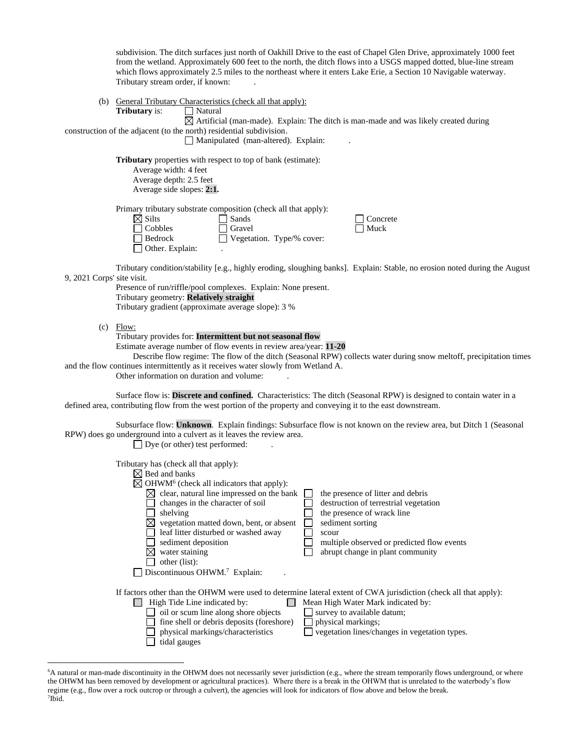subdivision. The ditch surfaces just north of Oakhill Drive to the east of Chapel Glen Drive, approximately 1000 feet from the wetland. Approximately 600 feet to the north, the ditch flows into a USGS mapped dotted, blue-line stream which flows approximately 2.5 miles to the northeast where it enters Lake Erie, a Section 10 Navigable waterway. Tributary stream order, if known: .

|                            | (b) General Tributary Characteristics (check all that apply):<br>Tributary is:<br>$\Box$ Natural<br>$\boxtimes$ Artificial (man-made). Explain: The ditch is man-made and was likely created during                                                                                                                                                                                                                                                                                                                                                                                                                                                                                          |
|----------------------------|----------------------------------------------------------------------------------------------------------------------------------------------------------------------------------------------------------------------------------------------------------------------------------------------------------------------------------------------------------------------------------------------------------------------------------------------------------------------------------------------------------------------------------------------------------------------------------------------------------------------------------------------------------------------------------------------|
|                            | construction of the adjacent (to the north) residential subdivision.<br>$\Box$ Manipulated (man-altered). Explain:                                                                                                                                                                                                                                                                                                                                                                                                                                                                                                                                                                           |
|                            | <b>Tributary</b> properties with respect to top of bank (estimate):<br>Average width: 4 feet<br>Average depth: 2.5 feet<br>Average side slopes: 2:1.                                                                                                                                                                                                                                                                                                                                                                                                                                                                                                                                         |
|                            | Primary tributary substrate composition (check all that apply):<br>$\boxtimes$ Silts<br>Sands<br>Concrete<br>Cobbles<br>Gravel<br>Muck<br>Bedrock<br>Vegetation. Type/% cover:<br>Other. Explain:                                                                                                                                                                                                                                                                                                                                                                                                                                                                                            |
| 9, 2021 Corps' site visit. | Tributary condition/stability [e.g., highly eroding, sloughing banks]. Explain: Stable, no erosion noted during the August<br>Presence of run/riffle/pool complexes. Explain: None present.<br>Tributary geometry: Relatively straight<br>Tributary gradient (approximate average slope): 3 %                                                                                                                                                                                                                                                                                                                                                                                                |
| (c)                        | Flow:<br>Tributary provides for: Intermittent but not seasonal flow<br>Estimate average number of flow events in review area/year: 11-20<br>Describe flow regime: The flow of the ditch (Seasonal RPW) collects water during snow meltoff, precipitation times<br>and the flow continues intermittently as it receives water slowly from Wetland A.<br>Other information on duration and volume:                                                                                                                                                                                                                                                                                             |
|                            | Surface flow is: Discrete and confined. Characteristics: The ditch (Seasonal RPW) is designed to contain water in a<br>defined area, contributing flow from the west portion of the property and conveying it to the east downstream.                                                                                                                                                                                                                                                                                                                                                                                                                                                        |
|                            | Subsurface flow: Unknown. Explain findings: Subsurface flow is not known on the review area, but Ditch 1 (Seasonal<br>RPW) does go underground into a culvert as it leaves the review area.<br>$\Box$ Dye (or other) test performed:                                                                                                                                                                                                                                                                                                                                                                                                                                                         |
|                            | Tributary has (check all that apply):<br>$\boxtimes$ Bed and banks<br>$\boxtimes$ OHWM <sup>6</sup> (check all indicators that apply):<br>$\boxtimes$ clear, natural line impressed on the bank $\Box$<br>the presence of litter and debris<br>changes in the character of soil<br>destruction of terrestrial vegetation<br>the presence of wrack line<br>shelving<br>$\boxtimes$ vegetation matted down, bent, or absent<br>sediment sorting<br>leaf litter disturbed or washed away<br>scour<br>sediment deposition<br>multiple observed or predicted flow events<br>abrupt change in plant community<br>water staining<br>⊠<br>other (list):<br>Discontinuous OHWM. <sup>7</sup> Explain: |
|                            | If factors other than the OHWM were used to determine lateral extent of CWA jurisdiction (check all that apply):<br>High Tide Line indicated by:<br>Mean High Water Mark indicated by:<br>oil or scum line along shore objects<br>$\Box$ survey to available datum;<br>fine shell or debris deposits (foreshore)<br>physical markings;<br>vegetation lines/changes in vegetation types.<br>physical markings/characteristics<br>tidal gauges                                                                                                                                                                                                                                                 |

<sup>6</sup>A natural or man-made discontinuity in the OHWM does not necessarily sever jurisdiction (e.g., where the stream temporarily flows underground, or where the OHWM has been removed by development or agricultural practices). Where there is a break in the OHWM that is unrelated to the waterbody's flow regime (e.g., flow over a rock outcrop or through a culvert), the agencies will look for indicators of flow above and below the break. 7 Ibid.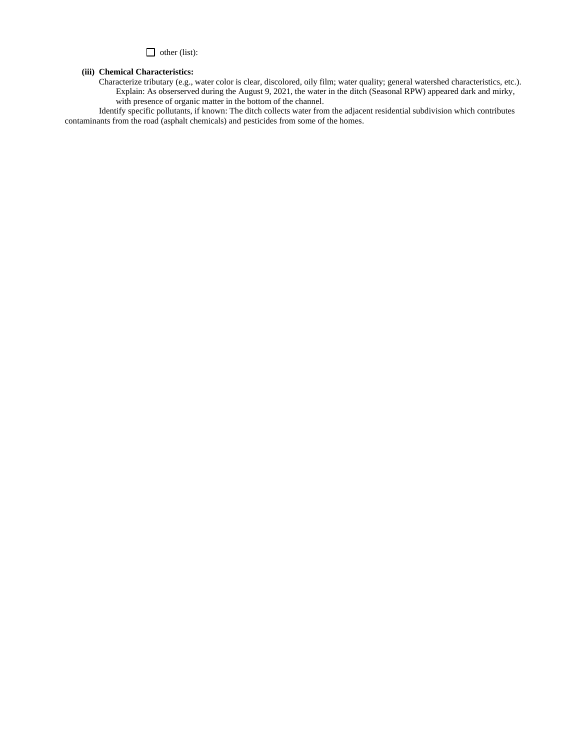# other (list):

#### **(iii) Chemical Characteristics:**

Characterize tributary (e.g., water color is clear, discolored, oily film; water quality; general watershed characteristics, etc.). Explain: As obserserved during the August 9, 2021, the water in the ditch (Seasonal RPW) appeared dark and mirky, with presence of organic matter in the bottom of the channel.

 Identify specific pollutants, if known: The ditch collects water from the adjacent residential subdivision which contributes contaminants from the road (asphalt chemicals) and pesticides from some of the homes.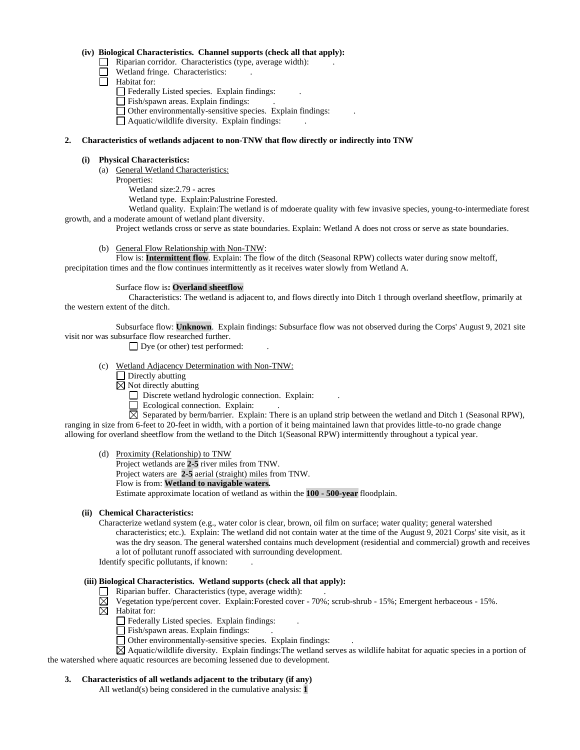#### **(iv) Biological Characteristics. Channel supports (check all that apply):**

- $\Box$  Riparian corridor. Characteristics (type, average width):
- Wetland fringe. Characteristics:
- Habitat for:
	- Federally Listed species. Explain findings: .
	- Fish/spawn areas. Explain findings:
	- $\Box$  Other environmentally-sensitive species. Explain findings:
	- $\Box$  Aquatic/wildlife diversity. Explain findings:

#### **2. Characteristics of wetlands adjacent to non-TNW that flow directly or indirectly into TNW**

#### **(i) Physical Characteristics:**

- (a) General Wetland Characteristics:
	- Properties:
		- Wetland size:2.79 acres
		- Wetland type. Explain:Palustrine Forested.
- Wetland quality. Explain:The wetland is of mdoerate quality with few invasive species, young-to-intermediate forest growth, and a moderate amount of wetland plant diversity.

Project wetlands cross or serve as state boundaries. Explain: Wetland A does not cross or serve as state boundaries.

#### (b) General Flow Relationship with Non-TNW:

Flow is: **Intermittent flow**. Explain: The flow of the ditch (Seasonal RPW) collects water during snow meltoff, precipitation times and the flow continues intermittently as it receives water slowly from Wetland A.

#### Surface flow is**: Overland sheetflow**

Characteristics: The wetland is adjacent to, and flows directly into Ditch 1 through overland sheetflow, primarily at the western extent of the ditch.

Subsurface flow: **Unknown**. Explain findings: Subsurface flow was not observed during the Corps' August 9, 2021 site visit nor was subsurface flow researched further.

 $\Box$  Dye (or other) test performed:

- (c) Wetland Adjacency Determination with Non-TNW:
	- $\Box$  Directly abutting
	- $\boxtimes$  Not directly abutting
		- Discrete wetland hydrologic connection. Explain:
		- $\Box$  Ecological connection. Explain:

 $\boxtimes$  Separated by berm/barrier. Explain: There is an upland strip between the wetland and Ditch 1 (Seasonal RPW), ranging in size from 6-feet to 20-feet in width, with a portion of it being maintained lawn that provides little-to-no grade change allowing for overland sheetflow from the wetland to the Ditch 1(Seasonal RPW) intermittently throughout a typical year.

## (d) Proximity (Relationship) to TNW

Project wetlands are **2-5** river miles from TNW. Project waters are **2-5** aerial (straight) miles from TNW. Flow is from: **Wetland to navigable waters.** Estimate approximate location of wetland as within the **100 - 500-year** floodplain.

#### **(ii) Chemical Characteristics:**

Characterize wetland system (e.g., water color is clear, brown, oil film on surface; water quality; general watershed characteristics; etc.). Explain: The wetland did not contain water at the time of the August 9, 2021 Corps' site visit, as it was the dry season. The general watershed contains much development (residential and commercial) growth and receives a lot of pollutant runoff associated with surrounding development.

Identify specific pollutants, if known: .

# **(iii) Biological Characteristics. Wetland supports (check all that apply):**

- $\Box$  Riparian buffer. Characteristics (type, average width):
- Vegetation type/percent cover. Explain:Forested cover 70%; scrub-shrub 15%; Emergent herbaceous 15%.
- $\overline{\boxtimes}$  Habitat for:
	- Federally Listed species. Explain findings: .
		- Fish/spawn areas. Explain findings: .
		- Other environmentally-sensitive species. Explain findings: .

 $\boxtimes$  Aquatic/wildlife diversity. Explain findings: The wetland serves as wildlife habitat for aquatic species in a portion of the watershed where aquatic resources are becoming lessened due to development.

## **3. Characteristics of all wetlands adjacent to the tributary (if any)**

All wetland(s) being considered in the cumulative analysis: **1**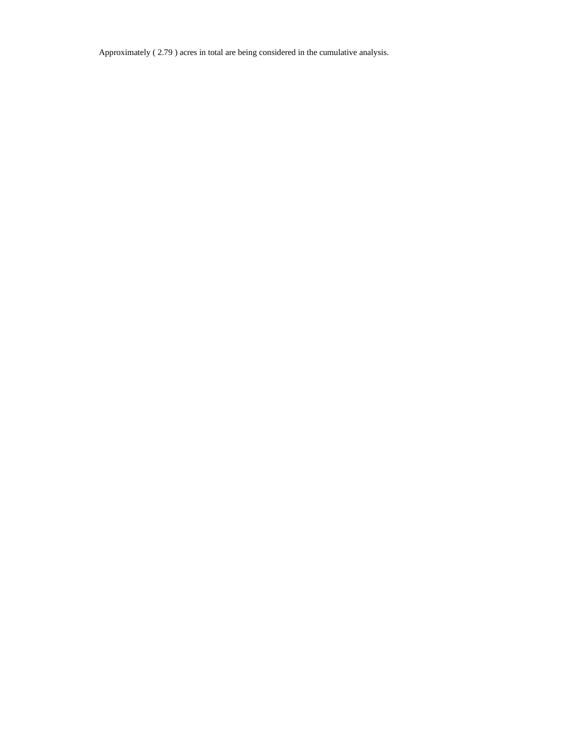Approximately ( 2.79 ) acres in total are being considered in the cumulative analysis.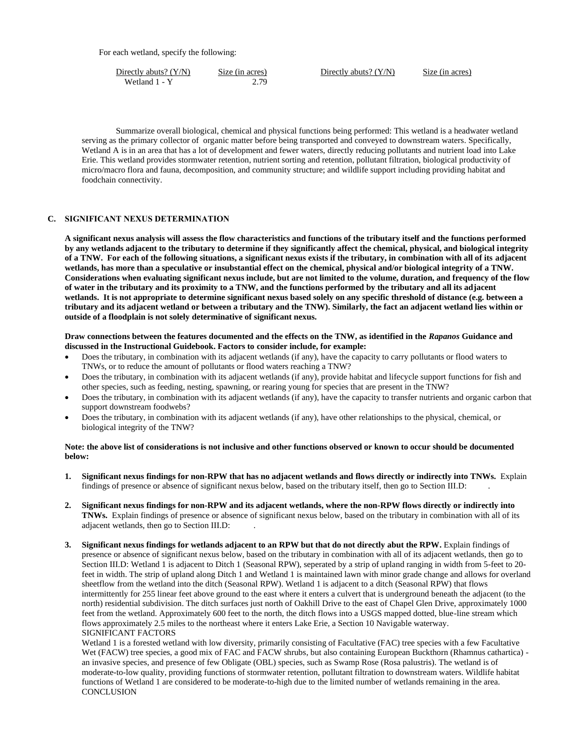For each wetland, specify the following:

| Directly abuts? $(Y/N)$ | Size (in acres) | Directly abuts? (Y/N) | Size (in acres) |
|-------------------------|-----------------|-----------------------|-----------------|
| Wetland 1 - Y           | 70              |                       |                 |

Summarize overall biological, chemical and physical functions being performed: This wetland is a headwater wetland serving as the primary collector of organic matter before being transported and conveyed to downstream waters. Specifically, Wetland A is in an area that has a lot of development and fewer waters, directly reducing pollutants and nutrient load into Lake Erie. This wetland provides stormwater retention, nutrient sorting and retention, pollutant filtration, biological productivity of micro/macro flora and fauna, decomposition, and community structure; and wildlife support including providing habitat and foodchain connectivity.

# **C. SIGNIFICANT NEXUS DETERMINATION**

**A significant nexus analysis will assess the flow characteristics and functions of the tributary itself and the functions performed by any wetlands adjacent to the tributary to determine if they significantly affect the chemical, physical, and biological integrity of a TNW. For each of the following situations, a significant nexus exists if the tributary, in combination with all of its adjacent wetlands, has more than a speculative or insubstantial effect on the chemical, physical and/or biological integrity of a TNW. Considerations when evaluating significant nexus include, but are not limited to the volume, duration, and frequency of the flow of water in the tributary and its proximity to a TNW, and the functions performed by the tributary and all its adjacent wetlands. It is not appropriate to determine significant nexus based solely on any specific threshold of distance (e.g. between a tributary and its adjacent wetland or between a tributary and the TNW). Similarly, the fact an adjacent wetland lies within or outside of a floodplain is not solely determinative of significant nexus.** 

**Draw connections between the features documented and the effects on the TNW, as identified in the** *Rapanos* **Guidance and discussed in the Instructional Guidebook. Factors to consider include, for example:**

- Does the tributary, in combination with its adjacent wetlands (if any), have the capacity to carry pollutants or flood waters to TNWs, or to reduce the amount of pollutants or flood waters reaching a TNW?
- Does the tributary, in combination with its adjacent wetlands (if any), provide habitat and lifecycle support functions for fish and other species, such as feeding, nesting, spawning, or rearing young for species that are present in the TNW?
- Does the tributary, in combination with its adjacent wetlands (if any), have the capacity to transfer nutrients and organic carbon that support downstream foodwebs?
- Does the tributary, in combination with its adjacent wetlands (if any), have other relationships to the physical, chemical, or biological integrity of the TNW?

#### **Note: the above list of considerations is not inclusive and other functions observed or known to occur should be documented below:**

- **1. Significant nexus findings for non-RPW that has no adjacent wetlands and flows directly or indirectly into TNWs.** Explain findings of presence or absence of significant nexus below, based on the tributary itself, then go to Section III.D: .
- **2. Significant nexus findings for non-RPW and its adjacent wetlands, where the non-RPW flows directly or indirectly into TNWs.** Explain findings of presence or absence of significant nexus below, based on the tributary in combination with all of its adjacent wetlands, then go to Section III.D: .
- **3. Significant nexus findings for wetlands adjacent to an RPW but that do not directly abut the RPW.** Explain findings of presence or absence of significant nexus below, based on the tributary in combination with all of its adjacent wetlands, then go to Section III.D: Wetland 1 is adjacent to Ditch 1 (Seasonal RPW), seperated by a strip of upland ranging in width from 5-feet to 20 feet in width. The strip of upland along Ditch 1 and Wetland 1 is maintained lawn with minor grade change and allows for overland sheetflow from the wetland into the ditch (Seasonal RPW). Wetland 1 is adjacent to a ditch (Seasonal RPW) that flows intermittently for 255 linear feet above ground to the east where it enters a culvert that is underground beneath the adjacent (to the north) residential subdivision. The ditch surfaces just north of Oakhill Drive to the east of Chapel Glen Drive, approximately 1000 feet from the wetland. Approximately 600 feet to the north, the ditch flows into a USGS mapped dotted, blue-line stream which flows approximately 2.5 miles to the northeast where it enters Lake Erie, a Section 10 Navigable waterway. SIGNIFICANT FACTORS

Wetland 1 is a forested wetland with low diversity, primarily consisting of Facultative (FAC) tree species with a few Facultative Wet (FACW) tree species, a good mix of FAC and FACW shrubs, but also containing European Buckthorn (Rhamnus cathartica) an invasive species, and presence of few Obligate (OBL) species, such as Swamp Rose (Rosa palustris). The wetland is of moderate-to-low quality, providing functions of stormwater retention, pollutant filtration to downstream waters. Wildlife habitat functions of Wetland 1 are considered to be moderate-to-high due to the limited number of wetlands remaining in the area. **CONCLUSION**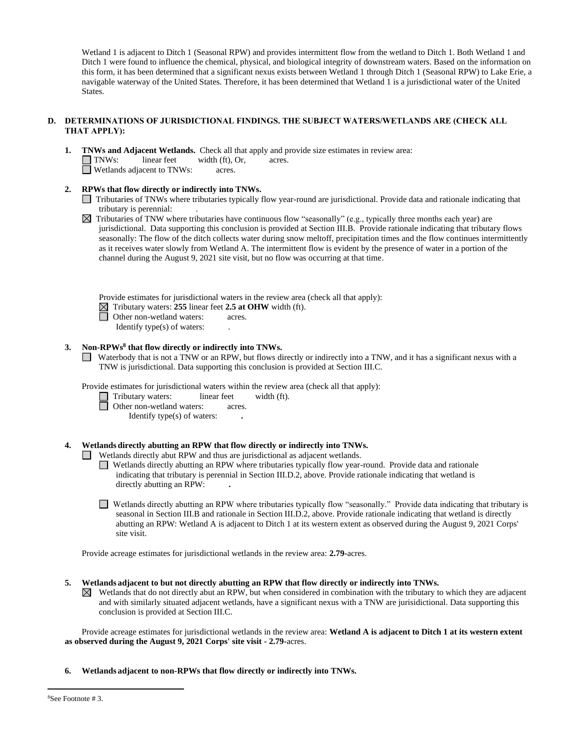Wetland 1 is adjacent to Ditch 1 (Seasonal RPW) and provides intermittent flow from the wetland to Ditch 1. Both Wetland 1 and Ditch 1 were found to influence the chemical, physical, and biological integrity of downstream waters. Based on the information on this form, it has been determined that a significant nexus exists between Wetland 1 through Ditch 1 (Seasonal RPW) to Lake Erie, a navigable waterway of the United States. Therefore, it has been determined that Wetland 1 is a jurisdictional water of the United States.

# **D. DETERMINATIONS OF JURISDICTIONAL FINDINGS. THE SUBJECT WATERS/WETLANDS ARE (CHECK ALL THAT APPLY):**

- **1. TNWs and Adjacent Wetlands.** Check all that apply and provide size estimates in review area: TNWs: linear feet width (ft), Or, acres. Wetlands adjacent to TNWs: acres.
- **2. RPWs that flow directly or indirectly into TNWs.**
	- Tributaries of TNWs where tributaries typically flow year-round are jurisdictional. Provide data and rationale indicating that tributary is perennial:
	- $\boxtimes$  Tributaries of TNW where tributaries have continuous flow "seasonally" (e.g., typically three months each year) are jurisdictional. Data supporting this conclusion is provided at Section III.B. Provide rationale indicating that tributary flows seasonally: The flow of the ditch collects water during snow meltoff, precipitation times and the flow continues intermittently as it receives water slowly from Wetland A. The intermittent flow is evident by the presence of water in a portion of the channel during the August 9, 2021 site visit, but no flow was occurring at that time.
		- Provide estimates for jurisdictional waters in the review area (check all that apply):
		- $\boxtimes$  Tributary waters: 255 linear feet 2.5 at OHW width (ft).
		- Other non-wetland waters: acres.
			- Identify type $(s)$  of waters:

## **3. Non-RPWs<sup>8</sup> that flow directly or indirectly into TNWs.**

Waterbody that is not a TNW or an RPW, but flows directly or indirectly into a TNW, and it has a significant nexus with a TNW is jurisdictional. Data supporting this conclusion is provided at Section III.C.

Provide estimates for jurisdictional waters within the review area (check all that apply):

- Tributary waters: linear feet width (ft).
- **<u></u> Other non-wetland waters:** acres.
	- Identify type(s) of waters: **.**

## **4. Wetlands directly abutting an RPW that flow directly or indirectly into TNWs.**

 $\Box$  Wetlands directly abut RPW and thus are jurisdictional as adjacent wetlands.

- Wetlands directly abutting an RPW where tributaries typically flow year-round. Provide data and rationale indicating that tributary is perennial in Section III.D.2, above. Provide rationale indicating that wetland is directly abutting an RPW: **.**
- Wetlands directly abutting an RPW where tributaries typically flow "seasonally." Provide data indicating that tributary is seasonal in Section III.B and rationale in Section III.D.2, above. Provide rationale indicating that wetland is directly abutting an RPW: Wetland A is adjacent to Ditch 1 at its western extent as observed during the August 9, 2021 Corps' site visit.

Provide acreage estimates for jurisdictional wetlands in the review area: **2.79-**acres.

- **5. Wetlands adjacent to but not directly abutting an RPW that flow directly or indirectly into TNWs.**
	- $\boxtimes$  Wetlands that do not directly abut an RPW, but when considered in combination with the tributary to which they are adjacent and with similarly situated adjacent wetlands, have a significant nexus with a TNW are jurisidictional. Data supporting this conclusion is provided at Section III.C.

Provide acreage estimates for jurisdictional wetlands in the review area: **Wetland A is adjacent to Ditch 1 at its western extent as observed during the August 9, 2021 Corps' site visit - 2.79-**acres.

**6. Wetlands adjacent to non-RPWs that flow directly or indirectly into TNWs.**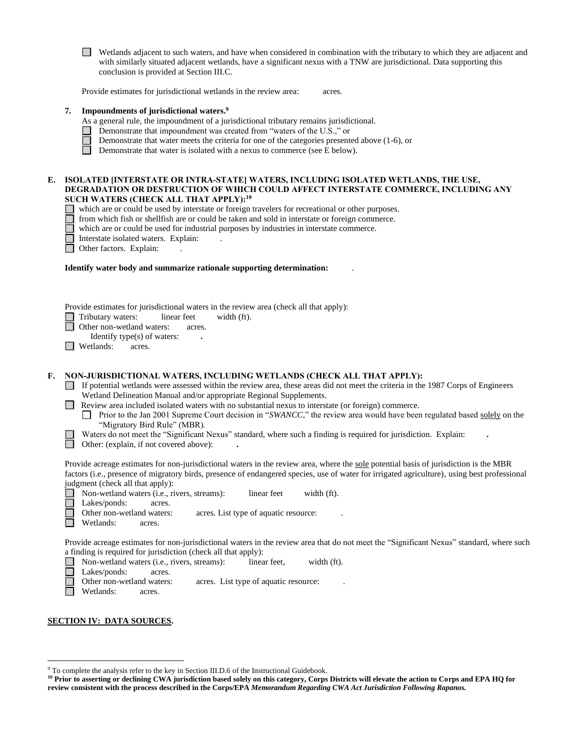| Wetlands adjacent to such waters, and have when considered in combination with the tributary to which they are adjacent and |
|-----------------------------------------------------------------------------------------------------------------------------|
| with similarly situated adjacent wetlands, have a significant nexus with a TNW are jurisdictional. Data supporting this     |
| conclusion is provided at Section III.C.                                                                                    |

Provide estimates for jurisdictional wetlands in the review area: acres.

#### **7. Impoundments of jurisdictional waters. 9**

- As a general rule, the impoundment of a jurisdictional tributary remains jurisdictional.
- Demonstrate that impoundment was created from "waters of the U.S.," or
	- Demonstrate that water meets the criteria for one of the categories presented above (1-6), or

Demonstrate that water is isolated with a nexus to commerce (see E below).

#### **E. ISOLATED [INTERSTATE OR INTRA-STATE] WATERS, INCLUDING ISOLATED WETLANDS, THE USE, DEGRADATION OR DESTRUCTION OF WHICH COULD AFFECT INTERSTATE COMMERCE, INCLUDING ANY SUCH WATERS (CHECK ALL THAT APPLY):<sup>10</sup>**

which are or could be used by interstate or foreign travelers for recreational or other purposes.

- 戸  $\Box$  from which fish or shellfish are or could be taken and sold in interstate or foreign commerce.<br> $\Box$  which are or could be used for industrial purposes by industries in interstate commerce.
	- which are or could be used for industrial purposes by industries in interstate commerce.
- □ Interstate isolated waters. Explain:<br>□ Other factors. Explain:
- Other factors. Explain:

#### **Identify water body and summarize rationale supporting determination:** .

Provide estimates for jurisdictional waters in the review area (check all that apply):

Tributary waters: linear feet width (ft).

П Other non-wetland waters: acres.

Identify type(s) of waters: **.**

**I** Wetlands: acres.

#### **F. NON-JURISDICTIONAL WATERS, INCLUDING WETLANDS (CHECK ALL THAT APPLY):**

If potential wetlands were assessed within the review area, these areas did not meet the criteria in the 1987 Corps of Engineers Wetland Delineation Manual and/or appropriate Regional Supplements.

**Review area included isolated waters with no substantial nexus to interstate (or foreign) commerce.** 

**Prior to the Jan 2001 Supreme Court decision in "***SWANCC*," the review area would have been regulated based solely on the "Migratory Bird Rule" (MBR).

- Waters do not meet the "Significant Nexus" standard, where such a finding is required for jurisdiction. Explain: **.** Ħ
	- Other: (explain, if not covered above): **.**

Provide acreage estimates for non-jurisdictional waters in the review area, where the sole potential basis of jurisdiction is the MBR factors (i.e., presence of migratory birds, presence of endangered species, use of water for irrigated agriculture), using best professional judgment (check all that apply):

|  | Non-wetland waters ( <i>i.e.</i> , <i>rivers</i> , <i>streams</i> ): |  |  | linear feet | width (ft). |
|--|----------------------------------------------------------------------|--|--|-------------|-------------|
|--|----------------------------------------------------------------------|--|--|-------------|-------------|

Lakes/ponds: acres.

Other non-wetland waters: acres. List type of aquatic resource:

Wetlands: acres.

Provide acreage estimates for non-jurisdictional waters in the review area that do not meet the "Significant Nexus" standard, where such a finding is required for jurisdiction (check all that apply):

- □ Non-wetland waters (i.e., rivers, streams): linear feet, width (ft).
- П Lakes/ponds: acres.
- Other non-wetland waters: acres. List type of aquatic resource:
- Wetlands: acres.

#### **SECTION IV: DATA SOURCES.**

<sup>&</sup>lt;sup>9</sup> To complete the analysis refer to the key in Section III.D.6 of the Instructional Guidebook.

**<sup>10</sup> Prior to asserting or declining CWA jurisdiction based solely on this category, Corps Districts will elevate the action to Corps and EPA HQ for review consistent with the process described in the Corps/EPA** *Memorandum Regarding CWA Act Jurisdiction Following Rapanos.*